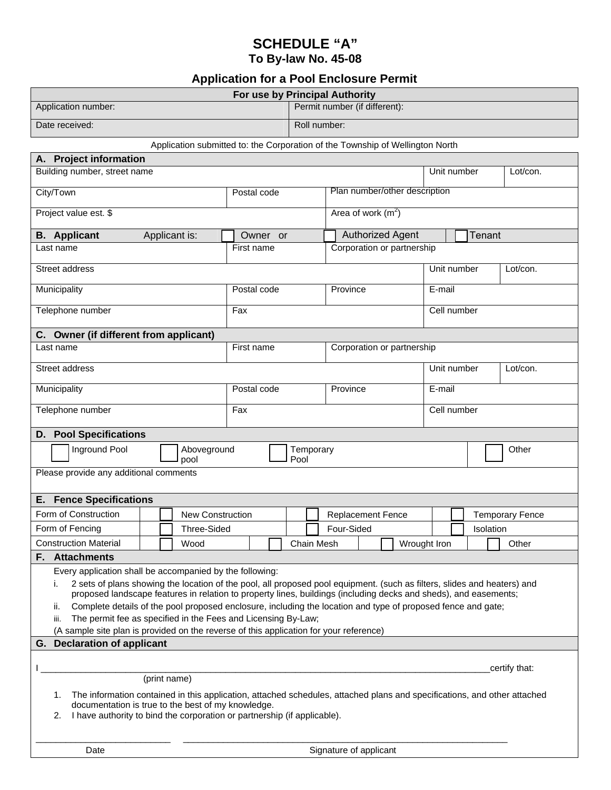## **SCHEDULE "A" To By-law No. 45-08**

## **Application for a Pool Enclosure Permit**

| For use by Principal Authority                                                                                                                                                                                                                                                                                                                                                                                                                                                                                                                                                                                                              |                         |  |  |  |                               |                     |  |                          |                               |                         |             |  |                         |                        |           |       |  |  |  |
|---------------------------------------------------------------------------------------------------------------------------------------------------------------------------------------------------------------------------------------------------------------------------------------------------------------------------------------------------------------------------------------------------------------------------------------------------------------------------------------------------------------------------------------------------------------------------------------------------------------------------------------------|-------------------------|--|--|--|-------------------------------|---------------------|--|--------------------------|-------------------------------|-------------------------|-------------|--|-------------------------|------------------------|-----------|-------|--|--|--|
| Application number:                                                                                                                                                                                                                                                                                                                                                                                                                                                                                                                                                                                                                         |                         |  |  |  |                               |                     |  |                          | Permit number (if different): |                         |             |  |                         |                        |           |       |  |  |  |
| Date received:                                                                                                                                                                                                                                                                                                                                                                                                                                                                                                                                                                                                                              |                         |  |  |  |                               |                     |  | Roll number:             |                               |                         |             |  |                         |                        |           |       |  |  |  |
| Application submitted to: the Corporation of the Township of Wellington North                                                                                                                                                                                                                                                                                                                                                                                                                                                                                                                                                               |                         |  |  |  |                               |                     |  |                          |                               |                         |             |  |                         |                        |           |       |  |  |  |
| A. Project information                                                                                                                                                                                                                                                                                                                                                                                                                                                                                                                                                                                                                      |                         |  |  |  |                               |                     |  |                          |                               |                         |             |  |                         |                        |           |       |  |  |  |
| Building number, street name                                                                                                                                                                                                                                                                                                                                                                                                                                                                                                                                                                                                                |                         |  |  |  |                               |                     |  |                          | Unit number<br>Lot/con.       |                         |             |  |                         |                        |           |       |  |  |  |
| City/Town                                                                                                                                                                                                                                                                                                                                                                                                                                                                                                                                                                                                                                   | Postal code             |  |  |  | Plan number/other description |                     |  |                          |                               |                         |             |  |                         |                        |           |       |  |  |  |
| Project value est. \$                                                                                                                                                                                                                                                                                                                                                                                                                                                                                                                                                                                                                       |                         |  |  |  |                               | Area of work $(m2)$ |  |                          |                               |                         |             |  |                         |                        |           |       |  |  |  |
| <b>B.</b> Applicant<br>Applicant is:                                                                                                                                                                                                                                                                                                                                                                                                                                                                                                                                                                                                        |                         |  |  |  | Owner or                      |                     |  |                          | <b>Authorized Agent</b>       |                         |             |  |                         | Tenant                 |           |       |  |  |  |
| Last name                                                                                                                                                                                                                                                                                                                                                                                                                                                                                                                                                                                                                                   |                         |  |  |  | First name                    |                     |  |                          | Corporation or partnership    |                         |             |  |                         |                        |           |       |  |  |  |
| Street address                                                                                                                                                                                                                                                                                                                                                                                                                                                                                                                                                                                                                              |                         |  |  |  |                               |                     |  |                          |                               |                         |             |  | Unit number<br>Lot/con. |                        |           |       |  |  |  |
| Municipality                                                                                                                                                                                                                                                                                                                                                                                                                                                                                                                                                                                                                                |                         |  |  |  | Postal code                   |                     |  |                          | Province                      |                         |             |  | E-mail                  |                        |           |       |  |  |  |
| Telephone number                                                                                                                                                                                                                                                                                                                                                                                                                                                                                                                                                                                                                            |                         |  |  |  | Fax                           |                     |  |                          |                               |                         |             |  | Cell number             |                        |           |       |  |  |  |
| C. Owner (if different from applicant)                                                                                                                                                                                                                                                                                                                                                                                                                                                                                                                                                                                                      |                         |  |  |  |                               |                     |  |                          |                               |                         |             |  |                         |                        |           |       |  |  |  |
| Last name                                                                                                                                                                                                                                                                                                                                                                                                                                                                                                                                                                                                                                   |                         |  |  |  | First name                    |                     |  |                          | Corporation or partnership    |                         |             |  |                         |                        |           |       |  |  |  |
| Street address                                                                                                                                                                                                                                                                                                                                                                                                                                                                                                                                                                                                                              |                         |  |  |  |                               |                     |  |                          |                               | Unit number<br>Lot/con. |             |  |                         |                        |           |       |  |  |  |
| Municipality                                                                                                                                                                                                                                                                                                                                                                                                                                                                                                                                                                                                                                | Postal code             |  |  |  | Province                      |                     |  |                          |                               | E-mail                  |             |  |                         |                        |           |       |  |  |  |
| Telephone number                                                                                                                                                                                                                                                                                                                                                                                                                                                                                                                                                                                                                            | Fax                     |  |  |  |                               |                     |  |                          |                               |                         | Cell number |  |                         |                        |           |       |  |  |  |
| <b>Pool Specifications</b><br>D.                                                                                                                                                                                                                                                                                                                                                                                                                                                                                                                                                                                                            |                         |  |  |  |                               |                     |  |                          |                               |                         |             |  |                         |                        |           |       |  |  |  |
| Inground Pool<br>Aboveground<br>pool                                                                                                                                                                                                                                                                                                                                                                                                                                                                                                                                                                                                        |                         |  |  |  | Temporary<br>Pool             |                     |  |                          |                               |                         |             |  |                         |                        | Other     |       |  |  |  |
| Please provide any additional comments                                                                                                                                                                                                                                                                                                                                                                                                                                                                                                                                                                                                      |                         |  |  |  |                               |                     |  |                          |                               |                         |             |  |                         |                        |           |       |  |  |  |
| <b>Fence Specifications</b><br>Е.                                                                                                                                                                                                                                                                                                                                                                                                                                                                                                                                                                                                           |                         |  |  |  |                               |                     |  |                          |                               |                         |             |  |                         |                        |           |       |  |  |  |
| Form of Construction                                                                                                                                                                                                                                                                                                                                                                                                                                                                                                                                                                                                                        | <b>New Construction</b> |  |  |  |                               |                     |  | <b>Replacement Fence</b> |                               |                         |             |  |                         | <b>Temporary Fence</b> |           |       |  |  |  |
| Form of Fencing                                                                                                                                                                                                                                                                                                                                                                                                                                                                                                                                                                                                                             | <b>Three-Sided</b>      |  |  |  |                               |                     |  | Four-Sided               |                               |                         |             |  |                         |                        | Isolation |       |  |  |  |
| <b>Construction Material</b>                                                                                                                                                                                                                                                                                                                                                                                                                                                                                                                                                                                                                | Wood                    |  |  |  |                               |                     |  | Chain Mesh               |                               |                         |             |  | Wrought Iron            |                        |           | Other |  |  |  |
| <b>Attachments</b><br>F.                                                                                                                                                                                                                                                                                                                                                                                                                                                                                                                                                                                                                    |                         |  |  |  |                               |                     |  |                          |                               |                         |             |  |                         |                        |           |       |  |  |  |
| Every application shall be accompanied by the following:<br>2 sets of plans showing the location of the pool, all proposed pool equipment. (such as filters, slides and heaters) and<br>i.<br>proposed landscape features in relation to property lines, buildings (including decks and sheds), and easements;<br>Complete details of the pool proposed enclosure, including the location and type of proposed fence and gate;<br>ii.<br>The permit fee as specified in the Fees and Licensing By-Law;<br>iii.<br>(A sample site plan is provided on the reverse of this application for your reference)<br><b>Declaration of applicant</b> |                         |  |  |  |                               |                     |  |                          |                               |                         |             |  |                         |                        |           |       |  |  |  |
| G.                                                                                                                                                                                                                                                                                                                                                                                                                                                                                                                                                                                                                                          |                         |  |  |  |                               |                     |  |                          |                               |                         |             |  |                         |                        |           |       |  |  |  |
| certify that:<br>(print name)<br>The information contained in this application, attached schedules, attached plans and specifications, and other attached<br>1.                                                                                                                                                                                                                                                                                                                                                                                                                                                                             |                         |  |  |  |                               |                     |  |                          |                               |                         |             |  |                         |                        |           |       |  |  |  |
| documentation is true to the best of my knowledge.<br>I have authority to bind the corporation or partnership (if applicable).<br>2.                                                                                                                                                                                                                                                                                                                                                                                                                                                                                                        |                         |  |  |  |                               |                     |  |                          |                               |                         |             |  |                         |                        |           |       |  |  |  |
|                                                                                                                                                                                                                                                                                                                                                                                                                                                                                                                                                                                                                                             |                         |  |  |  |                               |                     |  |                          |                               |                         |             |  |                         |                        |           |       |  |  |  |

Date **Signature of applicant**